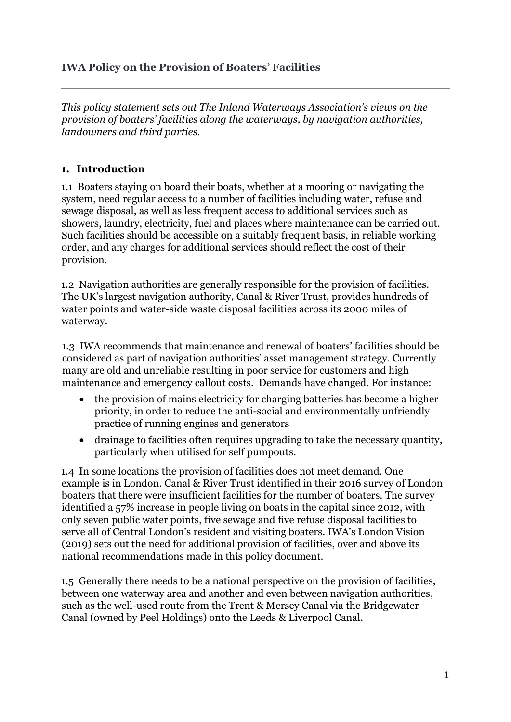#### **IWA Policy on the Provision of Boaters' Facilities**

*This policy statement sets out The Inland Waterways Association's views on the provision of boaters' facilities along the waterways, by navigation authorities, landowners and third parties.* 

#### **1. Introduction**

1.1 Boaters staying on board their boats, whether at a mooring or navigating the system, need regular access to a number of facilities including water, refuse and sewage disposal, as well as less frequent access to additional services such as showers, laundry, electricity, fuel and places where maintenance can be carried out. Such facilities should be accessible on a suitably frequent basis, in reliable working order, and any charges for additional services should reflect the cost of their provision.

1.2 Navigation authorities are generally responsible for the provision of facilities. The UK's largest navigation authority, Canal & River Trust, provides hundreds of water points and water-side waste disposal facilities across its 2000 miles of waterway.

1.3 IWA recommends that maintenance and renewal of boaters' facilities should be considered as part of navigation authorities' asset management strategy. Currently many are old and unreliable resulting in poor service for customers and high maintenance and emergency callout costs. Demands have changed. For instance:

- the provision of mains electricity for charging batteries has become a higher priority, in order to reduce the anti-social and environmentally unfriendly practice of running engines and generators
- drainage to facilities often requires upgrading to take the necessary quantity, particularly when utilised for self pumpouts.

1.4 In some locations the provision of facilities does not meet demand. One example is in London. Canal & River Trust identified in their 2016 survey of London boaters that there were insufficient facilities for the number of boaters. The survey identified a 57% increase in people living on boats in the capital since 2012, with only seven public water points, five sewage and five refuse disposal facilities to serve all of Central London's resident and visiting boaters. IWA's London Vision (2019) sets out the need for additional provision of facilities, over and above its national recommendations made in this policy document.

1.5 Generally there needs to be a national perspective on the provision of facilities, between one waterway area and another and even between navigation authorities, such as the well-used route from the Trent & Mersey Canal via the Bridgewater Canal (owned by Peel Holdings) onto the Leeds & Liverpool Canal.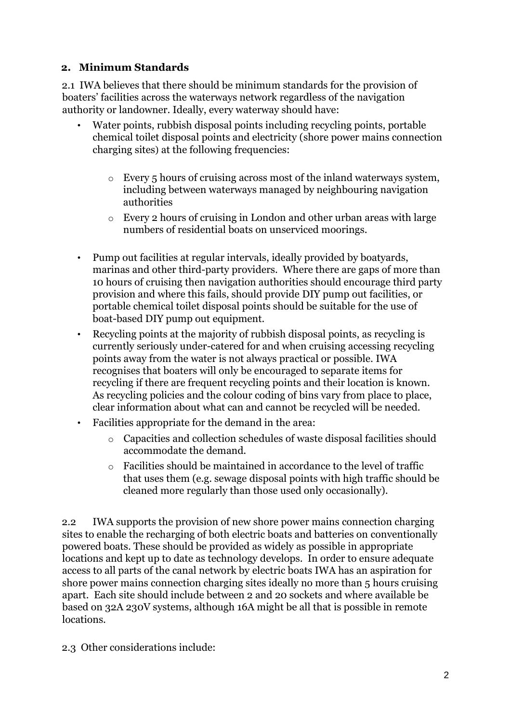#### **2. Minimum Standards**

2.1 IWA believes that there should be minimum standards for the provision of boaters' facilities across the waterways network regardless of the navigation authority or landowner. Ideally, every waterway should have:

- Water points, rubbish disposal points including recycling points, portable chemical toilet disposal points and electricity (shore power mains connection charging sites) at the following frequencies:
	- o Every 5 hours of cruising across most of the inland waterways system, including between waterways managed by neighbouring navigation authorities
	- o Every 2 hours of cruising in London and other urban areas with large numbers of residential boats on unserviced moorings.
- Pump out facilities at regular intervals, ideally provided by boatyards, marinas and other third-party providers. Where there are gaps of more than 10 hours of cruising then navigation authorities should encourage third party provision and where this fails, should provide DIY pump out facilities, or portable chemical toilet disposal points should be suitable for the use of boat-based DIY pump out equipment.
- Recycling points at the majority of rubbish disposal points, as recycling is currently seriously under-catered for and when cruising accessing recycling points away from the water is not always practical or possible. IWA recognises that boaters will only be encouraged to separate items for recycling if there are frequent recycling points and their location is known. As recycling policies and the colour coding of bins vary from place to place, clear information about what can and cannot be recycled will be needed.
- Facilities appropriate for the demand in the area:
	- o Capacities and collection schedules of waste disposal facilities should accommodate the demand.
	- o Facilities should be maintained in accordance to the level of traffic that uses them (e.g. sewage disposal points with high traffic should be cleaned more regularly than those used only occasionally).

2.2 IWA supports the provision of new shore power mains connection charging sites to enable the recharging of both electric boats and batteries on conventionally powered boats. These should be provided as widely as possible in appropriate locations and kept up to date as technology develops. In order to ensure adequate access to all parts of the canal network by electric boats IWA has an aspiration for shore power mains connection charging sites ideally no more than 5 hours cruising apart. Each site should include between 2 and 20 sockets and where available be based on 32A 230V systems, although 16A might be all that is possible in remote locations.

2.3 Other considerations include: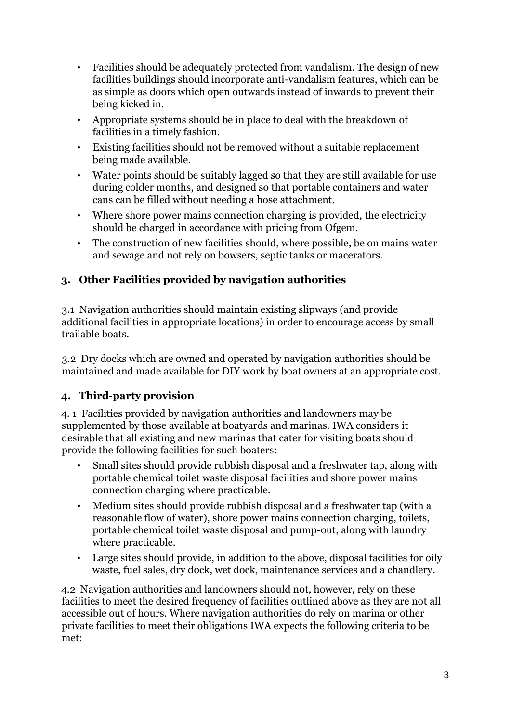- Facilities should be adequately protected from vandalism. The design of new facilities buildings should incorporate anti-vandalism features, which can be as simple as doors which open outwards instead of inwards to prevent their being kicked in.
- Appropriate systems should be in place to deal with the breakdown of facilities in a timely fashion.
- Existing facilities should not be removed without a suitable replacement being made available.
- Water points should be suitably lagged so that they are still available for use during colder months, and designed so that portable containers and water cans can be filled without needing a hose attachment.
- Where shore power mains connection charging is provided, the electricity should be charged in accordance with pricing from Ofgem.
- The construction of new facilities should, where possible, be on mains water and sewage and not rely on bowsers, septic tanks or macerators.

# **3. Other Facilities provided by navigation authorities**

3.1 Navigation authorities should maintain existing slipways (and provide additional facilities in appropriate locations) in order to encourage access by small trailable boats.

3.2 Dry docks which are owned and operated by navigation authorities should be maintained and made available for DIY work by boat owners at an appropriate cost.

## **4. Third-party provision**

4. 1 Facilities provided by navigation authorities and landowners may be supplemented by those available at boatyards and marinas. IWA considers it desirable that all existing and new marinas that cater for visiting boats should provide the following facilities for such boaters:

- Small sites should provide rubbish disposal and a freshwater tap, along with portable chemical toilet waste disposal facilities and shore power mains connection charging where practicable.
- Medium sites should provide rubbish disposal and a freshwater tap (with a reasonable flow of water), shore power mains connection charging, toilets, portable chemical toilet waste disposal and pump-out, along with laundry where practicable.
- Large sites should provide, in addition to the above, disposal facilities for oily waste, fuel sales, dry dock, wet dock, maintenance services and a chandlery.

4.2 Navigation authorities and landowners should not, however, rely on these facilities to meet the desired frequency of facilities outlined above as they are not all accessible out of hours. Where navigation authorities do rely on marina or other private facilities to meet their obligations IWA expects the following criteria to be met: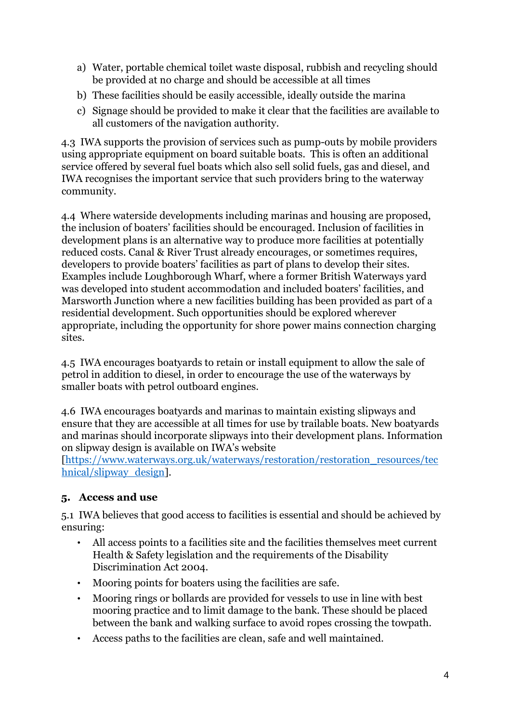- a) Water, portable chemical toilet waste disposal, rubbish and recycling should be provided at no charge and should be accessible at all times
- b) These facilities should be easily accessible, ideally outside the marina
- c) Signage should be provided to make it clear that the facilities are available to all customers of the navigation authority.

4.3 IWA supports the provision of services such as pump-outs by mobile providers using appropriate equipment on board suitable boats. This is often an additional service offered by several fuel boats which also sell solid fuels, gas and diesel, and IWA recognises the important service that such providers bring to the waterway community.

4.4 Where waterside developments including marinas and housing are proposed, the inclusion of boaters' facilities should be encouraged. Inclusion of facilities in development plans is an alternative way to produce more facilities at potentially reduced costs. Canal & River Trust already encourages, or sometimes requires, developers to provide boaters' facilities as part of plans to develop their sites. Examples include Loughborough Wharf, where a former British Waterways yard was developed into student accommodation and included boaters' facilities, and Marsworth Junction where a new facilities building has been provided as part of a residential development. Such opportunities should be explored wherever appropriate, including the opportunity for shore power mains connection charging sites.

4.5 IWA encourages boatyards to retain or install equipment to allow the sale of petrol in addition to diesel, in order to encourage the use of the waterways by smaller boats with petrol outboard engines.

4.6 IWA encourages boatyards and marinas to maintain existing slipways and ensure that they are accessible at all times for use by trailable boats. New boatyards and marinas should incorporate slipways into their development plans. Information on slipway design is available on IWA's website

[\[https://www.waterways.org.uk/waterways/restoration/restoration\\_resources/tec](https://www.waterways.org.uk/waterways/restoration/restoration_resources/technical/slipway_design) [hnical/slipway\\_design\]](https://www.waterways.org.uk/waterways/restoration/restoration_resources/technical/slipway_design).

## **5. Access and use**

5.1 IWA believes that good access to facilities is essential and should be achieved by ensuring:

- All access points to a facilities site and the facilities themselves meet current Health & Safety legislation and the requirements of the Disability Discrimination Act 2004.
- Mooring points for boaters using the facilities are safe.
- Mooring rings or bollards are provided for vessels to use in line with best mooring practice and to limit damage to the bank. These should be placed between the bank and walking surface to avoid ropes crossing the towpath.
- Access paths to the facilities are clean, safe and well maintained.